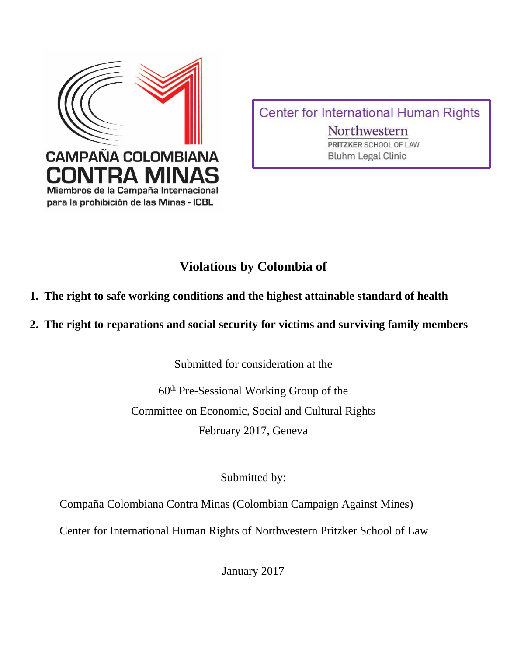

Center for International Human Rights Northwestern PRITZKER SCHOOL OF LAW **Bluhm Legal Clinic** 

# **Violations by Colombia of**

- **1. The right to safe working conditions and the highest attainable standard of health**
- **2. The right to reparations and social security for victims and surviving family members**

Submitted for consideration at the

60th Pre-Sessional Working Group of the Committee on Economic, Social and Cultural Rights February 2017, Geneva

Submitted by:

Compaña Colombiana Contra Minas (Colombian Campaign Against Mines)

Center for International Human Rights of Northwestern Pritzker School of Law

January 2017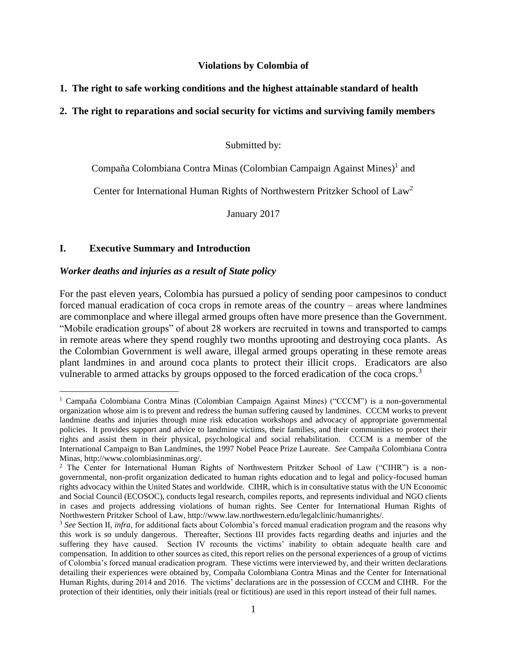#### **Violations by Colombia of**

## **1. The right to safe working conditions and the highest attainable standard of health**

## **2. The right to reparations and social security for victims and surviving family members**

Submitted by:

# Compaña Colombiana Contra Minas (Colombian Campaign Against Mines)<sup>1</sup> and

Center for International Human Rights of Northwestern Pritzker School of Law<sup>2</sup>

January 2017

#### **I. Executive Summary and Introduction**

 $\overline{a}$ 

#### *Worker deaths and injuries as a result of State policy*

For the past eleven years, Colombia has pursued a policy of sending poor campesinos to conduct forced manual eradication of coca crops in remote areas of the country – areas where landmines are commonplace and where illegal armed groups often have more presence than the Government. "Mobile eradication groups" of about 28 workers are recruited in towns and transported to camps in remote areas where they spend roughly two months uprooting and destroying coca plants. As the Colombian Government is well aware, illegal armed groups operating in these remote areas plant landmines in and around coca plants to protect their illicit crops. Eradicators are also vulnerable to armed attacks by groups opposed to the forced eradication of the coca crops.<sup>3</sup>

<sup>&</sup>lt;sup>1</sup> Campaña Colombiana Contra Minas (Colombian Campaign Against Mines) ("CCCM") is a non-governmental organization whose aim is to prevent and redress the human suffering caused by landmines. CCCM works to prevent landmine deaths and injuries through mine risk education workshops and advocacy of appropriate governmental policies. It provides support and advice to landmine victims, their families, and their communities to protect their rights and assist them in their physical, psychological and social rehabilitation. CCCM is a member of the International Campaign to Ban Landmines, the 1997 Nobel Peace Prize Laureate. *See* Campaña Colombiana Contra Minas, http://www.colombiasinminas.org/.

<sup>&</sup>lt;sup>2</sup> The Center for International Human Rights of Northwestern Pritzker School of Law ("CIHR") is a nongovernmental, non-profit organization dedicated to human rights education and to legal and policy-focused human rights advocacy within the United States and worldwide. CIHR, which is in consultative status with the UN Economic and Social Council (ECOSOC), conducts legal research, compiles reports, and represents individual and NGO clients in cases and projects addressing violations of human rights. See Center for International Human Rights of Northwestern Pritzker School of Law, http://www.law.northwestern.edu/legalclinic/humanrights/.

<sup>3</sup> *See* Section II, *infra*, for additional facts about Colombia's forced manual eradication program and the reasons why this work is so unduly dangerous. Thereafter, Sections III provides facts regarding deaths and injuries and the suffering they have caused. Section IV recounts the victims' inability to obtain adequate health care and compensation. In addition to other sources as cited, this report relies on the personal experiences of a group of victims of Colombia's forced manual eradication program. These victims were interviewed by, and their written declarations detailing their experiences were obtained by, Compaña Colombiana Contra Minas and the Center for International Human Rights, during 2014 and 2016. The victims' declarations are in the possession of CCCM and CIHR. For the protection of their identities, only their initials (real or fictitious) are used in this report instead of their full names.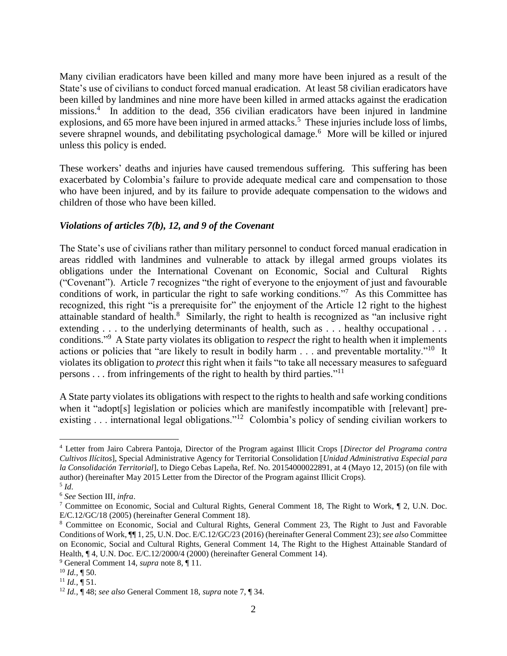Many civilian eradicators have been killed and many more have been injured as a result of the State's use of civilians to conduct forced manual eradication. At least 58 civilian eradicators have been killed by landmines and nine more have been killed in armed attacks against the eradication missions.<sup>4</sup> In addition to the dead, 356 civilian eradicators have been injured in landmine explosions, and 65 more have been injured in armed attacks.<sup>5</sup> These injuries include loss of limbs, severe shrapnel wounds, and debilitating psychological damage.<sup>6</sup> More will be killed or injured unless this policy is ended.

These workers' deaths and injuries have caused tremendous suffering. This suffering has been exacerbated by Colombia's failure to provide adequate medical care and compensation to those who have been injured, and by its failure to provide adequate compensation to the widows and children of those who have been killed.

# *Violations of articles 7(b), 12, and 9 of the Covenant*

The State's use of civilians rather than military personnel to conduct forced manual eradication in areas riddled with landmines and vulnerable to attack by illegal armed groups violates its obligations under the International Covenant on Economic, Social and Cultural Rights ("Covenant"). Article 7 recognizes "the right of everyone to the enjoyment of just and favourable conditions of work, in particular the right to safe working conditions."<sup>7</sup> As this Committee has recognized, this right "is a prerequisite for" the enjoyment of the Article 12 right to the highest attainable standard of health. $8$  Similarly, the right to health is recognized as "an inclusive right extending . . . to the underlying determinants of health, such as . . . healthy occupational . . . conditions." <sup>9</sup> A State party violates its obligation to *respect* the right to health when it implements actions or policies that "are likely to result in bodily harm . . . and preventable mortality."<sup>10</sup> It violates its obligation to *protect* this right when it fails "to take all necessary measures to safeguard persons . . . from infringements of the right to health by third parties.<sup>"11</sup>

A State party violates its obligations with respect to the rights to health and safe working conditions when it "adopt[s] legislation or policies which are manifestly incompatible with [relevant] preexisting . . . international legal obligations."<sup>12</sup> Colombia's policy of sending civilian workers to

<sup>4</sup> Letter from Jairo Cabrera Pantoja, Director of the Program against Illicit Crops [*Director del Programa contra Cultivos Ilícitos*], Special Administrative Agency for Territorial Consolidation [*Unidad Administrativa Especial para la Consolidación Territorial*], to Diego Cebas Lapeña, Ref. No. 20154000022891, at 4 (Mayo 12, 2015) (on file with author) (hereinafter May 2015 Letter from the Director of the Program against Illicit Crops). 5 *Id*.

<sup>6</sup> *See* Section III, *infra*.

<sup>7</sup> Committee on Economic, Social and Cultural Rights, General Comment 18, The Right to Work, ¶ 2, U.N. Doc. E/C.12/GC/18 (2005) (hereinafter General Comment 18).

<sup>8</sup> Committee on Economic, Social and Cultural Rights, General Comment 23, The Right to Just and Favorable Conditions of Work, ¶¶ 1, 25, U.N. Doc. E/C.12/GC/23 (2016) (hereinafter General Comment 23); *see also* Committee on Economic, Social and Cultural Rights, General Comment 14, The Right to the Highest Attainable Standard of Health, ¶ 4, U.N. Doc. E/C.12/2000/4 (2000) (hereinafter General Comment 14).

<sup>9</sup> General Comment 14, *supra* note 8, ¶ 11.

<sup>10</sup> *Id.,* ¶ 50.

 $^{11}$  *Id.*,  $\overline{\P}$  51.

<sup>12</sup> *Id.,* ¶ 48; *see also* General Comment 18, *supra* note 7, ¶ 34.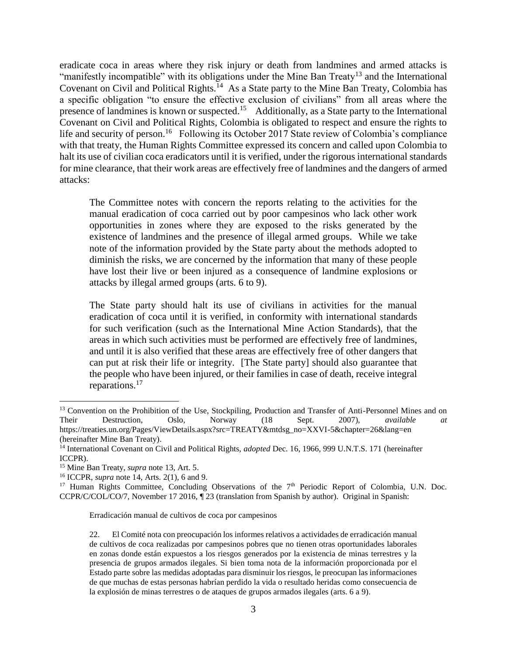eradicate coca in areas where they risk injury or death from landmines and armed attacks is "manifestly incompatible" with its obligations under the Mine Ban Treaty<sup>13</sup> and the International Covenant on Civil and Political Rights.<sup>14</sup> As a State party to the Mine Ban Treaty, Colombia has a specific obligation "to ensure the effective exclusion of civilians" from all areas where the presence of landmines is known or suspected.<sup>15</sup> Additionally, as a State party to the International Covenant on Civil and Political Rights, Colombia is obligated to respect and ensure the rights to life and security of person.<sup>16</sup> Following its October 2017 State review of Colombia's compliance with that treaty, the Human Rights Committee expressed its concern and called upon Colombia to halt its use of civilian coca eradicators until it is verified, under the rigorous international standards for mine clearance, that their work areas are effectively free of landmines and the dangers of armed attacks:

The Committee notes with concern the reports relating to the activities for the manual eradication of coca carried out by poor campesinos who lack other work opportunities in zones where they are exposed to the risks generated by the existence of landmines and the presence of illegal armed groups. While we take note of the information provided by the State party about the methods adopted to diminish the risks, we are concerned by the information that many of these people have lost their live or been injured as a consequence of landmine explosions or attacks by illegal armed groups (arts. 6 to 9).

The State party should halt its use of civilians in activities for the manual eradication of coca until it is verified, in conformity with international standards for such verification (such as the International Mine Action Standards), that the areas in which such activities must be performed are effectively free of landmines, and until it is also verified that these areas are effectively free of other dangers that can put at risk their life or integrity. [The State party] should also guarantee that the people who have been injured, or their families in case of death, receive integral reparations.<sup>17</sup>

 $\overline{a}$ 

Erradicación manual de cultivos de coca por campesinos

<sup>&</sup>lt;sup>13</sup> Convention on the Prohibition of the Use, Stockpiling, Production and Transfer of Anti-Personnel Mines and on Their Destruction, Oslo, Norway (18 Sept. 2007), *available at*  https://treaties.un.org/Pages/ViewDetails.aspx?src=TREATY&mtdsg\_no=XXVI-5&chapter=26&lang=en (hereinafter Mine Ban Treaty).

<sup>14</sup> International Covenant on Civil and Political Rights, *adopted* Dec. 16, 1966, 999 U.N.T.S. 171 (hereinafter ICCPR).

<sup>15</sup> Mine Ban Treaty, *supra* note 13, Art. 5.

<sup>16</sup> ICCPR, *supra* note 14, Arts. 2(1), 6 and 9.

<sup>&</sup>lt;sup>17</sup> Human Rights Committee, Concluding Observations of the 7<sup>th</sup> Periodic Report of Colombia, U.N. Doc. CCPR/C/COL/CO/7, November 17 2016, ¶ 23 (translation from Spanish by author). Original in Spanish:

<sup>22.</sup> El Comité nota con preocupación los informes relativos a actividades de erradicación manual de cultivos de coca realizadas por campesinos pobres que no tienen otras oportunidades laborales en zonas donde están expuestos a los riesgos generados por la existencia de minas terrestres y la presencia de grupos armados ilegales. Si bien toma nota de la información proporcionada por el Estado parte sobre las medidas adoptadas para disminuir los riesgos, le preocupan las informaciones de que muchas de estas personas habrían perdido la vida o resultado heridas como consecuencia de la explosión de minas terrestres o de ataques de grupos armados ilegales (arts. 6 a 9).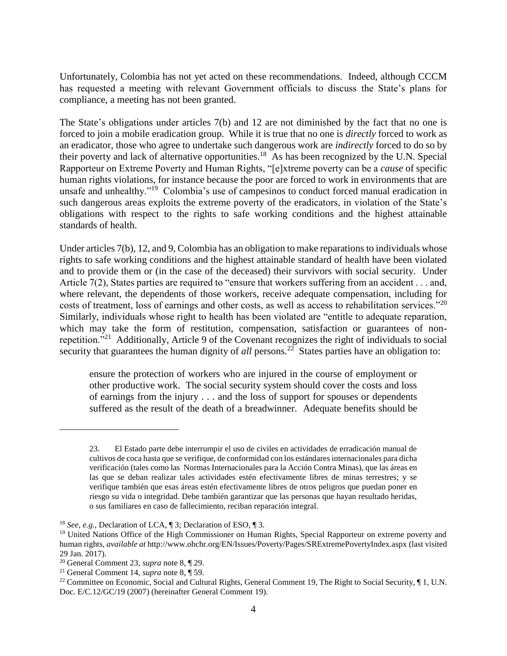Unfortunately, Colombia has not yet acted on these recommendations. Indeed, although CCCM has requested a meeting with relevant Government officials to discuss the State's plans for compliance, a meeting has not been granted.

The State's obligations under articles 7(b) and 12 are not diminished by the fact that no one is forced to join a mobile eradication group. While it is true that no one is *directly* forced to work as an eradicator, those who agree to undertake such dangerous work are *indirectly* forced to do so by their poverty and lack of alternative opportunities.<sup>18</sup> As has been recognized by the U.N. Special Rapporteur on Extreme Poverty and Human Rights, "[e]xtreme poverty can be a *cause* of specific human rights violations, for instance because the poor are forced to work in environments that are unsafe and unhealthy."<sup>19</sup> Colombia's use of campesinos to conduct forced manual eradication in such dangerous areas exploits the extreme poverty of the eradicators, in violation of the State's obligations with respect to the rights to safe working conditions and the highest attainable standards of health.

Under articles 7(b), 12, and 9, Colombia has an obligation to make reparations to individuals whose rights to safe working conditions and the highest attainable standard of health have been violated and to provide them or (in the case of the deceased) their survivors with social security. Under Article 7(2), States parties are required to "ensure that workers suffering from an accident . . . and, where relevant, the dependents of those workers, receive adequate compensation, including for costs of treatment, loss of earnings and other costs, as well as access to rehabilitation services."<sup>20</sup> Similarly, individuals whose right to health has been violated are "entitle to adequate reparation, which may take the form of restitution, compensation, satisfaction or guarantees of nonrepetition."<sup>21</sup> Additionally, Article 9 of the Covenant recognizes the right of individuals to social security that guarantees the human dignity of *all* persons.<sup>22</sup> States parties have an obligation to:

ensure the protection of workers who are injured in the course of employment or other productive work. The social security system should cover the costs and loss of earnings from the injury . . . and the loss of support for spouses or dependents suffered as the result of the death of a breadwinner. Adequate benefits should be

<sup>23.</sup> El Estado parte debe interrumpir el uso de civiles en actividades de erradicación manual de cultivos de coca hasta que se verifique, de conformidad con los estándares internacionales para dicha verificación (tales como las Normas Internacionales para la Acción Contra Minas), que las áreas en las que se deban realizar tales actividades estén efectivamente libres de minas terrestres; y se verifique también que esas áreas estén efectivamente libres de otros peligros que puedan poner en riesgo su vida o integridad. Debe también garantizar que las personas que hayan resultado heridas, o sus familiares en caso de fallecimiento, reciban reparación integral.

<sup>18</sup> *See*, *e.g.*, Declaration of LCA, ¶ 3; Declaration of ESO, ¶ 3.

<sup>&</sup>lt;sup>19</sup> United Nations Office of the High Commissioner on Human Rights, Special Rapporteur on extreme poverty and human rights, *available at* http://www.ohchr.org/EN/Issues/Poverty/Pages/SRExtremePovertyIndex.aspx (last visited 29 Jan. 2017).

<sup>20</sup> General Comment 23, *supra* note 8, ¶ 29.

<sup>21</sup> General Comment 14, *supra* note 8, ¶ 59.

<sup>&</sup>lt;sup>22</sup> Committee on Economic, Social and Cultural Rights, General Comment 19, The Right to Social Security,  $\P$ 1, U.N. Doc. E/C.12/GC/19 (2007) (hereinafter General Comment 19).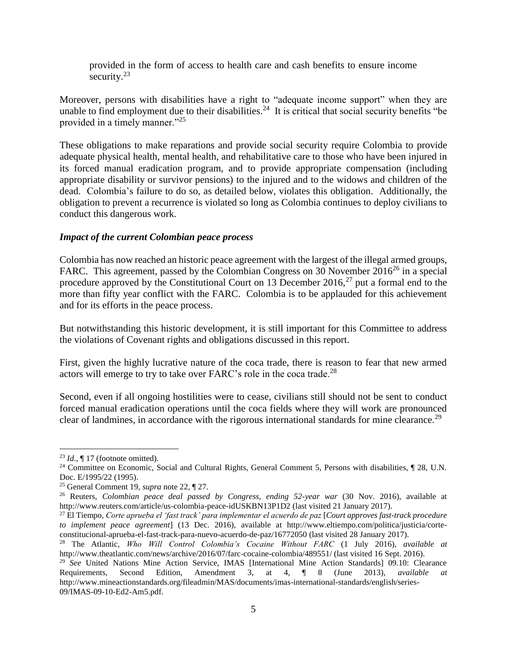provided in the form of access to health care and cash benefits to ensure income security. $23$ 

Moreover, persons with disabilities have a right to "adequate income support" when they are unable to find employment due to their disabilities.<sup>24</sup> It is critical that social security benefits "be provided in a timely manner."<sup>25</sup>

These obligations to make reparations and provide social security require Colombia to provide adequate physical health, mental health, and rehabilitative care to those who have been injured in its forced manual eradication program, and to provide appropriate compensation (including appropriate disability or survivor pensions) to the injured and to the widows and children of the dead. Colombia's failure to do so, as detailed below, violates this obligation. Additionally, the obligation to prevent a recurrence is violated so long as Colombia continues to deploy civilians to conduct this dangerous work.

#### *Impact of the current Colombian peace process*

Colombia has now reached an historic peace agreement with the largest of the illegal armed groups, FARC. This agreement, passed by the Colombian Congress on 30 November  $2016^{26}$  in a special procedure approved by the Constitutional Court on 13 December 2016, $^{27}$  put a formal end to the more than fifty year conflict with the FARC. Colombia is to be applauded for this achievement and for its efforts in the peace process.

But notwithstanding this historic development, it is still important for this Committee to address the violations of Covenant rights and obligations discussed in this report.

First, given the highly lucrative nature of the coca trade, there is reason to fear that new armed actors will emerge to try to take over FARC's role in the coca trade.<sup>28</sup>

Second, even if all ongoing hostilities were to cease, civilians still should not be sent to conduct forced manual eradication operations until the coca fields where they will work are pronounced clear of landmines, in accordance with the rigorous international standards for mine clearance.<sup>29</sup>

 $23$  *Id.*,  $\P$  17 (footnote omitted).

<sup>&</sup>lt;sup>24</sup> Committee on Economic, Social and Cultural Rights, General Comment 5, Persons with disabilities, ¶ 28, U.N. Doc. E/1995/22 (1995).

<sup>25</sup> General Comment 19, *supra* note 22, ¶ 27.

<sup>26</sup> Reuters, *Colombian peace deal passed by Congress, ending 52-year war* (30 Nov. 2016), available at http://www.reuters.com/article/us-colombia-peace-idUSKBN13P1D2 (last visited 21 January 2017).

<sup>27</sup> El Tiempo, *Corte aprueba el 'fast track' para implementar el acuerdo de paz* [*Court approves fast-track procedure to implement peace agreement*] (13 Dec. 2016), available at http://www.eltiempo.com/politica/justicia/corteconstitucional-aprueba-el-fast-track-para-nuevo-acuerdo-de-paz/16772050 (last visited 28 January 2017).

<sup>28</sup> The Atlantic, *Who Will Control Colombia's Cocaine Without FARC* (1 July 2016), *available at*  http://www.theatlantic.com/news/archive/2016/07/farc-cocaine-colombia/489551/ (last visited 16 Sept. 2016).

<sup>29</sup> *See* United Nations Mine Action Service, IMAS [International Mine Action Standards] 09.10: Clearance Requirements, Second Edition, Amendment 3, at 4, ¶ 8 (June 2013), *available at*  http://www.mineactionstandards.org/fileadmin/MAS/documents/imas-international-standards/english/series-09/IMAS-09-10-Ed2-Am5.pdf.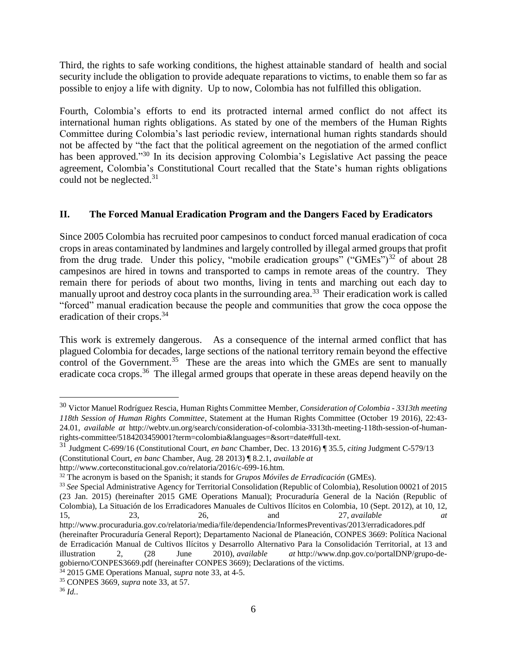Third, the rights to safe working conditions, the highest attainable standard of health and social security include the obligation to provide adequate reparations to victims, to enable them so far as possible to enjoy a life with dignity. Up to now, Colombia has not fulfilled this obligation.

Fourth, Colombia's efforts to end its protracted internal armed conflict do not affect its international human rights obligations. As stated by one of the members of the Human Rights Committee during Colombia's last periodic review, international human rights standards should not be affected by "the fact that the political agreement on the negotiation of the armed conflict has been approved."<sup>30</sup> In its decision approving Colombia's Legislative Act passing the peace agreement, Colombia's Constitutional Court recalled that the State's human rights obligations could not be neglected.<sup>31</sup>

# **II. The Forced Manual Eradication Program and the Dangers Faced by Eradicators**

Since 2005 Colombia has recruited poor campesinos to conduct forced manual eradication of coca crops in areas contaminated by landmines and largely controlled by illegal armed groups that profit from the drug trade. Under this policy, "mobile eradication groups" ("GMEs")<sup>32</sup> of about 28 campesinos are hired in towns and transported to camps in remote areas of the country. They remain there for periods of about two months, living in tents and marching out each day to manually uproot and destroy coca plants in the surrounding area.<sup>33</sup> Their eradication work is called "forced" manual eradication because the people and communities that grow the coca oppose the eradication of their crops.<sup>34</sup>

This work is extremely dangerous. As a consequence of the internal armed conflict that has plagued Colombia for decades, large sections of the national territory remain beyond the effective control of the Government.<sup>35</sup> These are the areas into which the GMEs are sent to manually eradicate coca crops.<sup>36</sup> The illegal armed groups that operate in these areas depend heavily on the

<sup>30</sup> Victor Manuel Rodríguez Rescia, Human Rights Committee Member, *Consideration of Colombia - 3313th meeting 118th Session of Human Rights Committee*, Statement at the Human Rights Committee (October 19 2016), 22:43- 24.01, *available at* http://webtv.un.org/search/consideration-of-colombia-3313th-meeting-118th-session-of-humanrights-committee/5184203459001?term=colombia&languages=&sort=date#full-text.

<sup>31</sup> Judgment C-699/16 (Constitutional Court, *en banc* Chamber, Dec. 13 2016) ¶ 35.5, *citing* Judgment C-579/13

<sup>(</sup>Constitutional Court, *en banc* Chamber, Aug. 28 2013) ¶ 8.2.1, *available at*

http://www.corteconstitucional.gov.co/relatoria/2016/c-699-16.htm.

<sup>32</sup> The acronym is based on the Spanish; it stands for *Grupos Móviles de Erradicación* (GMEs).

<sup>33</sup> *See* Special Administrative Agency for Territorial Consolidation (Republic of Colombia), Resolution 00021 of 2015 (23 Jan. 2015) (hereinafter 2015 GME Operations Manual); Procuraduría General de la Nación (Republic of Colombia), La Situación de los Erradicadores Manuales de Cultivos Ilícitos en Colombia, 10 (Sept. 2012), at 10, 12, 15, 23, 26, and 27, *available at*  http://www.procuraduria.gov.co/relatoria/media/file/dependencia/InformesPreventivas/2013/erradicadores.pdf

<sup>(</sup>hereinafter Procuraduría General Report); Departamento Nacional de Planeación, CONPES 3669: Política Nacional de Erradicación Manual de Cultivos Ilícitos y Desarrollo Alternativo Para la Consolidación Territorial, at 13 and illustration 2, (28 June 2010), *available at* http://www.dnp.gov.co/portalDNP/grupo-degobierno/CONPES3669.pdf (hereinafter CONPES 3669); Declarations of the victims.

<sup>34</sup> 2015 GME Operations Manual, *supra* note 33, at 4-5.

<sup>35</sup> CONPES 3669, *supra* note 33, at 57.

<sup>36</sup> *Id.*.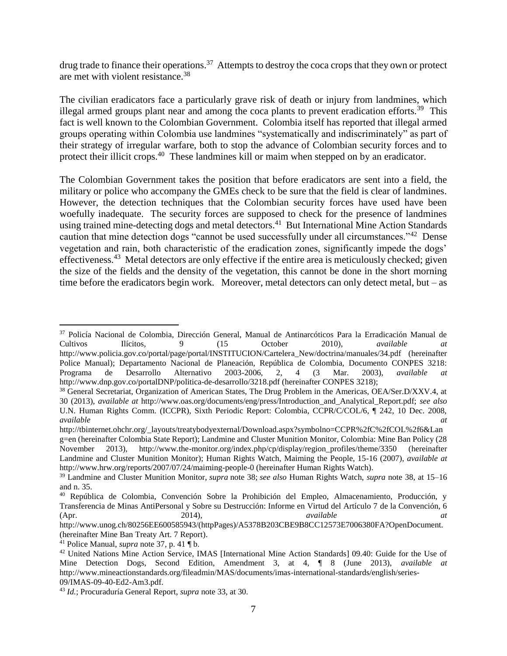drug trade to finance their operations.<sup>37</sup> Attempts to destroy the coca crops that they own or protect are met with violent resistance.<sup>38</sup>

The civilian eradicators face a particularly grave risk of death or injury from landmines, which illegal armed groups plant near and among the coca plants to prevent eradication efforts.<sup>39</sup> This fact is well known to the Colombian Government. Colombia itself has reported that illegal armed groups operating within Colombia use landmines "systematically and indiscriminately" as part of their strategy of irregular warfare, both to stop the advance of Colombian security forces and to protect their illicit crops.<sup>40</sup> These landmines kill or maim when stepped on by an eradicator.

The Colombian Government takes the position that before eradicators are sent into a field, the military or police who accompany the GMEs check to be sure that the field is clear of landmines. However, the detection techniques that the Colombian security forces have used have been woefully inadequate. The security forces are supposed to check for the presence of landmines using trained mine-detecting dogs and metal detectors.<sup>41</sup> But International Mine Action Standards caution that mine detection dogs "cannot be used successfully under all circumstances."<sup>42</sup> Dense vegetation and rain, both characteristic of the eradication zones, significantly impede the dogs' effectiveness.<sup>43</sup> Metal detectors are only effective if the entire area is meticulously checked; given the size of the fields and the density of the vegetation, this cannot be done in the short morning time before the eradicators begin work. Moreover, metal detectors can only detect metal, but – as

<sup>&</sup>lt;sup>37</sup> Policía Nacional de Colombia, Dirección General, Manual de Antinarcóticos Para la Erradicación Manual de Cultivos Ilícitos, 9 (15 October 2010), *available at*  http://www.policia.gov.co/portal/page/portal/INSTITUCION/Cartelera\_New/doctrina/manuales/34.pdf (hereinafter Police Manual); Departamento Nacional de Planeación, República de Colombia, Documento CONPES 3218: Programa de Desarrollo Alternativo 2003-2006, 2, 4 (3 Mar. 2003), *available at*  http://www.dnp.gov.co/portalDNP/politica-de-desarrollo/3218.pdf (hereinafter CONPES 3218);

<sup>&</sup>lt;sup>38</sup> General Secretariat, Organization of American States, The Drug Problem in the Americas, OEA/Ser.D/XXV.4, at 30 (2013), *available at* http://www.oas.org/documents/eng/press/Introduction\_and\_Analytical\_Report.pdf; *see also*  U.N. Human Rights Comm. (ICCPR), Sixth Periodic Report: Colombia, CCPR/C/COL/6, ¶ 242, 10 Dec. 2008, *available at* 

http://tbinternet.ohchr.org/\_layouts/treatybodyexternal/Download.aspx?symbolno=CCPR%2fC%2fCOL%2f6&Lan g=en (hereinafter Colombia State Report); Landmine and Cluster Munition Monitor, Colombia: Mine Ban Policy (28 November 2013), http://www.the-monitor.org/index.php/cp/display/region\_profiles/theme/3350 (hereinafter Landmine and Cluster Munition Monitor); Human Rights Watch, Maiming the People, 15-16 (2007), *available at*  http://www.hrw.org/reports/2007/07/24/maiming-people-0 (hereinafter Human Rights Watch).

<sup>39</sup> Landmine and Cluster Munition Monitor, *supra* note 38; *see also* Human Rights Watch, *supra* note 38, at 15–16 and n. 35.

<sup>40</sup> República de Colombia, Convención Sobre la Prohibición del Empleo, Almacenamiento, Producción, y Transferencia de Minas AntiPersonal y Sobre su Destrucción: Informe en Virtud del Artículo 7 de la Convención, 6 (Apr. 2014), *available at*

http://www.unog.ch/80256EE600585943/(httpPages)/A5378B203CBE9B8CC12573E7006380FA?OpenDocument. (hereinafter Mine Ban Treaty Art. 7 Report).

<sup>41</sup> Police Manual, *supra* note 37, p. 41 ¶ b.

<sup>42</sup> United Nations Mine Action Service, IMAS [International Mine Action Standards] 09.40: Guide for the Use of Mine Detection Dogs, Second Edition, Amendment 3, at 4, ¶ 8 (June 2013), *available at*  http://www.mineactionstandards.org/fileadmin/MAS/documents/imas-international-standards/english/series-09/IMAS-09-40-Ed2-Am3.pdf.

<sup>43</sup> *Id.*; Procuraduría General Report, *supra* note 33, at 30.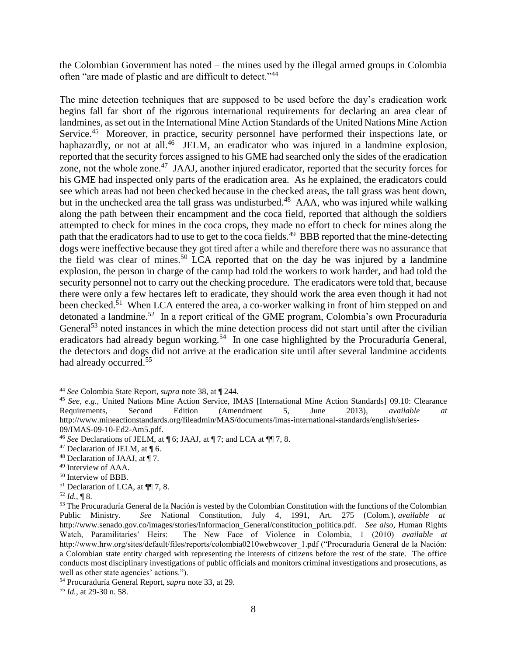the Colombian Government has noted – the mines used by the illegal armed groups in Colombia often "are made of plastic and are difficult to detect."<sup>44</sup>

The mine detection techniques that are supposed to be used before the day's eradication work begins fall far short of the rigorous international requirements for declaring an area clear of landmines, as set out in the International Mine Action Standards of the United Nations Mine Action Service.<sup>45</sup> Moreover, in practice, security personnel have performed their inspections late, or haphazardly, or not at all.<sup>46</sup> JELM, an eradicator who was injured in a landmine explosion, reported that the security forces assigned to his GME had searched only the sides of the eradication zone, not the whole zone.<sup>47</sup> JAAJ, another injured eradicator, reported that the security forces for his GME had inspected only parts of the eradication area. As he explained, the eradicators could see which areas had not been checked because in the checked areas, the tall grass was bent down, but in the unchecked area the tall grass was undisturbed.<sup>48</sup> AAA, who was injured while walking along the path between their encampment and the coca field, reported that although the soldiers attempted to check for mines in the coca crops, they made no effort to check for mines along the path that the eradicators had to use to get to the coca fields.<sup>49</sup> BBB reported that the mine-detecting dogs were ineffective because they got tired after a while and therefore there was no assurance that the field was clear of mines.<sup>50</sup> LCA reported that on the day he was injured by a landmine explosion, the person in charge of the camp had told the workers to work harder, and had told the security personnel not to carry out the checking procedure. The eradicators were told that, because there were only a few hectares left to eradicate, they should work the area even though it had not been checked.<sup>51</sup> When LCA entered the area, a co-worker walking in front of him stepped on and detonated a landmine.<sup>52</sup> In a report critical of the GME program, Colombia's own Procuraduría General<sup>53</sup> noted instances in which the mine detection process did not start until after the civilian eradicators had already begun working.<sup>54</sup> In one case highlighted by the Procuraduría General, the detectors and dogs did not arrive at the eradication site until after several landmine accidents had already occurred.<sup>55</sup>

<sup>52</sup> *Id.*, ¶ 8.

 $\overline{a}$ 

<sup>55</sup> *Id.*, at 29-30 n. 58.

<sup>44</sup> *See* Colombia State Report, *supra* note 38, at ¶ 244.

<sup>45</sup> *See, e.g.,* United Nations Mine Action Service, IMAS [International Mine Action Standards] 09.10: Clearance Requirements, Second Edition (Amendment 5, June 2013), *available at*  http://www.mineactionstandards.org/fileadmin/MAS/documents/imas-international-standards/english/series-09/IMAS-09-10-Ed2-Am5.pdf.

<sup>46</sup> *See* Declarations of JELM, at ¶ 6; JAAJ, at ¶ 7; and LCA at ¶¶ 7, 8.

 $47$  Declaration of JELM, at  $\P$  6.

<sup>48</sup> Declaration of JAAJ, at ¶ 7.

<sup>49</sup> Interview of AAA.

<sup>50</sup> Interview of BBB.

<sup>51</sup> Declaration of LCA, at ¶¶ 7, 8.

<sup>53</sup> The Procuraduría General de la Nación is vested by the Colombian Constitution with the functions of the Colombian Public Ministry. *See* National Constitution, July 4, 1991, Art. 275 (Colom.), *available at* http://www.senado.gov.co/images/stories/Informacion\_General/constitucion\_politica.pdf. *See also*, Human Rights Watch, Paramilitaries' Heirs: The New Face of Violence in Colombia, 1 (2010) *available at* http://www.hrw.org/sites/default/files/reports/colombia0210webwcover\_1.pdf ("Procuraduría General de la Nación: a Colombian state entity charged with representing the interests of citizens before the rest of the state. The office conducts most disciplinary investigations of public officials and monitors criminal investigations and prosecutions, as well as other state agencies' actions.").

<sup>54</sup> Procuraduría General Report, *supra* note 33, at 29.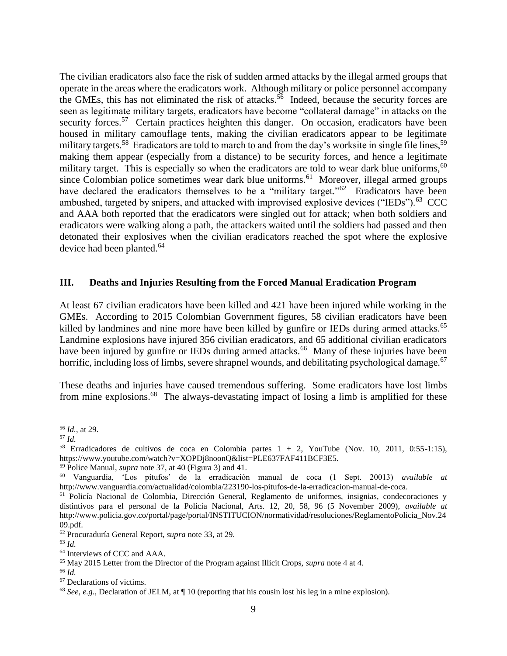The civilian eradicators also face the risk of sudden armed attacks by the illegal armed groups that operate in the areas where the eradicators work. Although military or police personnel accompany the GMEs, this has not eliminated the risk of attacks.<sup>56</sup> Indeed, because the security forces are seen as legitimate military targets, eradicators have become "collateral damage" in attacks on the security forces.<sup>57</sup> Certain practices heighten this danger. On occasion, eradicators have been housed in military camouflage tents, making the civilian eradicators appear to be legitimate military targets.<sup>58</sup> Eradicators are told to march to and from the day's worksite in single file lines,<sup>59</sup> making them appear (especially from a distance) to be security forces, and hence a legitimate military target. This is especially so when the eradicators are told to wear dark blue uniforms,  $60$ since Colombian police sometimes wear dark blue uniforms.<sup>61</sup> Moreover, illegal armed groups have declared the eradicators themselves to be a "military target."<sup>62</sup> Eradicators have been ambushed, targeted by snipers, and attacked with improvised explosive devices ("IEDs").<sup>63</sup> CCC and AAA both reported that the eradicators were singled out for attack; when both soldiers and eradicators were walking along a path, the attackers waited until the soldiers had passed and then detonated their explosives when the civilian eradicators reached the spot where the explosive device had been planted.<sup>64</sup>

#### **III. Deaths and Injuries Resulting from the Forced Manual Eradication Program**

At least 67 civilian eradicators have been killed and 421 have been injured while working in the GMEs. According to 2015 Colombian Government figures, 58 civilian eradicators have been killed by landmines and nine more have been killed by gunfire or IEDs during armed attacks.<sup>65</sup> Landmine explosions have injured 356 civilian eradicators, and 65 additional civilian eradicators have been injured by gunfire or IEDs during armed attacks.<sup>66</sup> Many of these injuries have been horrific, including loss of limbs, severe shrapnel wounds, and debilitating psychological damage.<sup>67</sup>

These deaths and injuries have caused tremendous suffering. Some eradicators have lost limbs from mine explosions.<sup>68</sup> The always-devastating impact of losing a limb is amplified for these

 $\overline{a}$ <sup>56</sup> *Id.*, at 29.

<sup>57</sup> *Id.*

<sup>&</sup>lt;sup>58</sup> Erradicadores de cultivos de coca en Colombia partes  $1 + 2$ , YouTube (Nov. 10, 2011, 0:55-1:15), https://www.youtube.com/watch?v=XOPDj8noonQ&list=PLE637FAF411BCF3E5.

<sup>59</sup> Police Manual, *supra* note 37, at 40 (Figura 3) and 41.

<sup>60</sup> Vanguardia, 'Los pitufos' de la erradicación manual de coca (1 Sept. 20013) *available at* http://www.vanguardia.com/actualidad/colombia/223190-los-pitufos-de-la-erradicacion-manual-de-coca.

<sup>61</sup> Policía Nacional de Colombia, Dirección General, Reglamento de uniformes, insignias, condecoraciones y distintivos para el personal de la Policía Nacional, Arts. 12, 20, 58, 96 (5 November 2009), *available at*  http://www.policia.gov.co/portal/page/portal/INSTITUCION/normatividad/resoluciones/ReglamentoPolicia\_Nov.24 09.pdf.

<sup>62</sup> Procuraduría General Report, *supra* note 33, at 29.

<sup>63</sup> *Id.*

<sup>64</sup> Interviews of CCC and AAA.

<sup>65</sup> May 2015 Letter from the Director of the Program against Illicit Crops, *supra* note 4 at 4.

<sup>66</sup> *Id.*

<sup>67</sup> Declarations of victims.

<sup>68</sup> *See, e.g.*, Declaration of JELM, at ¶ 10 (reporting that his cousin lost his leg in a mine explosion).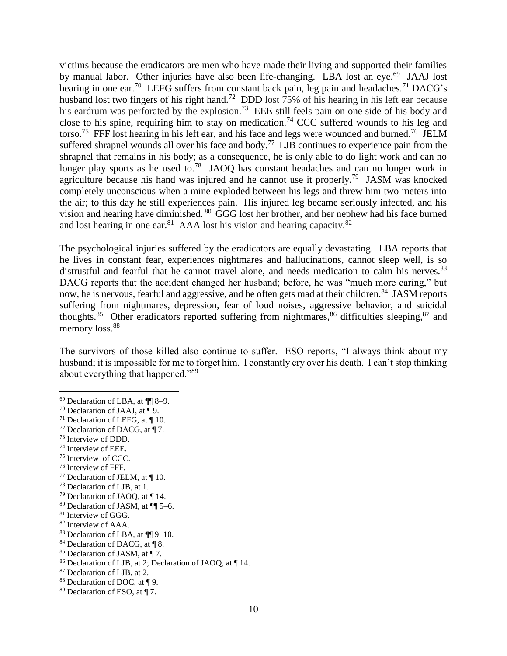victims because the eradicators are men who have made their living and supported their families by manual labor. Other injuries have also been life-changing. LBA lost an eye.<sup>69</sup> JAAJ lost hearing in one ear.<sup>70</sup> LEFG suffers from constant back pain, leg pain and headaches.<sup>71</sup> DACG's husband lost two fingers of his right hand.<sup>72</sup> DDD lost 75% of his hearing in his left ear because his eardrum was perforated by the explosion.<sup>73</sup> EEE still feels pain on one side of his body and close to his spine, requiring him to stay on medication.<sup>74</sup> CCC suffered wounds to his leg and torso.<sup>75</sup> FFF lost hearing in his left ear, and his face and legs were wounded and burned.<sup>76</sup> JELM suffered shrapnel wounds all over his face and body.<sup>77</sup> LJB continues to experience pain from the shrapnel that remains in his body; as a consequence, he is only able to do light work and can no longer play sports as he used to.<sup>78</sup> JAOQ has constant headaches and can no longer work in agriculture because his hand was injured and he cannot use it properly.<sup>79</sup> JASM was knocked completely unconscious when a mine exploded between his legs and threw him two meters into the air; to this day he still experiences pain. His injured leg became seriously infected, and his vision and hearing have diminished. <sup>80</sup> GGG lost her brother, and her nephew had his face burned and lost hearing in one ear.<sup>81</sup> AAA lost his vision and hearing capacity.<sup>82</sup>

The psychological injuries suffered by the eradicators are equally devastating. LBA reports that he lives in constant fear, experiences nightmares and hallucinations, cannot sleep well, is so distrustful and fearful that he cannot travel alone, and needs medication to calm his nerves.<sup>83</sup> DACG reports that the accident changed her husband; before, he was "much more caring," but now, he is nervous, fearful and aggressive, and he often gets mad at their children.<sup>84</sup> JASM reports suffering from nightmares, depression, fear of loud noises, aggressive behavior, and suicidal thoughts.<sup>85</sup> Other eradicators reported suffering from nightmares,<sup>86</sup> difficulties sleeping,<sup>87</sup> and memory loss.<sup>88</sup>

The survivors of those killed also continue to suffer. ESO reports, "I always think about my husband; it is impossible for me to forget him. I constantly cry over his death. I can't stop thinking about everything that happened."<sup>89</sup>

- $72$  Declaration of DACG, at ¶ 7.
- <sup>73</sup> Interview of DDD.

- <sup>74</sup> Interview of EEE.
- <sup>75</sup> Interview of CCC.
- <sup>76</sup> Interview of FFF.
- $77$  Declaration of JELM, at  $\P$  10.
- <sup>78</sup> Declaration of LJB, at 1.
- <sup>79</sup> Declaration of JAOQ, at ¶ 14.
- <sup>80</sup> Declaration of JASM, at ¶¶ 5–6.
- <sup>81</sup> Interview of GGG.
- <sup>82</sup> Interview of AAA.
- <sup>83</sup> Declaration of LBA, at ¶¶ 9–10.
- 84 Declaration of DACG, at ¶ 8.
- <sup>85</sup> Declaration of JASM, at ¶ 7.
- <sup>86</sup> Declaration of LJB, at 2; Declaration of JAOQ, at ¶ 14.
- <sup>87</sup> Declaration of LJB, at 2.
- 88 Declaration of DOC, at 19.
- $89$  Declaration of ESO, at  $\P$  7.

<sup>69</sup> Declaration of LBA, at ¶¶ 8–9.

<sup>&</sup>lt;sup>70</sup> Declaration of JAAJ, at  $\P$ 9.

<sup>&</sup>lt;sup>71</sup> Declaration of LEFG, at  $\P$  10.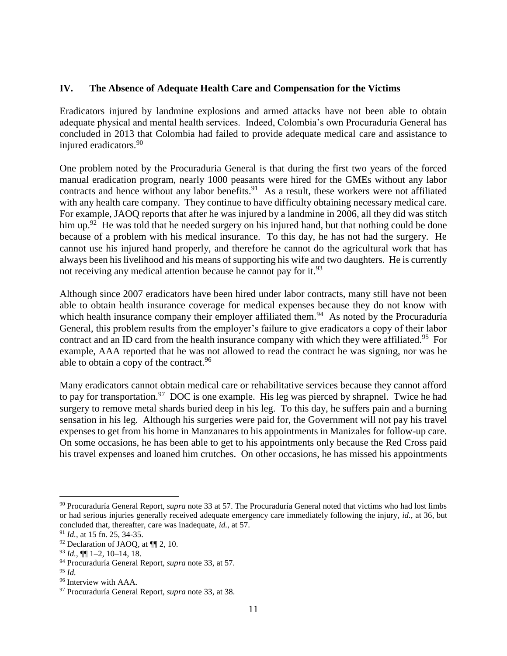# **IV. The Absence of Adequate Health Care and Compensation for the Victims**

Eradicators injured by landmine explosions and armed attacks have not been able to obtain adequate physical and mental health services. Indeed, Colombia's own Procuraduría General has concluded in 2013 that Colombia had failed to provide adequate medical care and assistance to injured eradicators.<sup>90</sup>

One problem noted by the Procuraduria General is that during the first two years of the forced manual eradication program, nearly 1000 peasants were hired for the GMEs without any labor contracts and hence without any labor benefits.  $91$  As a result, these workers were not affiliated with any health care company. They continue to have difficulty obtaining necessary medical care. For example, JAOQ reports that after he was injured by a landmine in 2006, all they did was stitch him up.<sup>92</sup> He was told that he needed surgery on his injured hand, but that nothing could be done because of a problem with his medical insurance. To this day, he has not had the surgery. He cannot use his injured hand properly, and therefore he cannot do the agricultural work that has always been his livelihood and his means of supporting his wife and two daughters. He is currently not receiving any medical attention because he cannot pay for it.<sup>93</sup>

Although since 2007 eradicators have been hired under labor contracts, many still have not been able to obtain health insurance coverage for medical expenses because they do not know with which health insurance company their employer affiliated them.<sup>94</sup> As noted by the Procuraduría General, this problem results from the employer's failure to give eradicators a copy of their labor contract and an ID card from the health insurance company with which they were affiliated.<sup>95</sup> For example, AAA reported that he was not allowed to read the contract he was signing, nor was he able to obtain a copy of the contract.  $96$ 

Many eradicators cannot obtain medical care or rehabilitative services because they cannot afford to pay for transportation.<sup>97</sup> DOC is one example. His leg was pierced by shrapnel. Twice he had surgery to remove metal shards buried deep in his leg. To this day, he suffers pain and a burning sensation in his leg. Although his surgeries were paid for, the Government will not pay his travel expenses to get from his home in Manzanares to his appointments in Manizales for follow-up care. On some occasions, he has been able to get to his appointments only because the Red Cross paid his travel expenses and loaned him crutches. On other occasions, he has missed his appointments

<sup>90</sup> Procuraduría General Report, *supra* note 33 at 57. The Procuraduría General noted that victims who had lost limbs or had serious injuries generally received adequate emergency care immediately following the injury, *id.*, at 36, but concluded that, thereafter, care was inadequate, *id.*, at 57.

<sup>91</sup> *Id.*, at 15 fn. 25, 34-35.

<sup>92</sup> Declaration of JAOQ, at ¶¶ 2, 10.

<sup>93</sup> *Id.*, ¶¶ 1–2, 10–14, 18.

<sup>94</sup> Procuraduría General Report, *supra* note 33, at 57.

<sup>95</sup> *Id.*

<sup>&</sup>lt;sup>96</sup> Interview with AAA.

<sup>97</sup> Procuraduría General Report, *supra* note 33, at 38.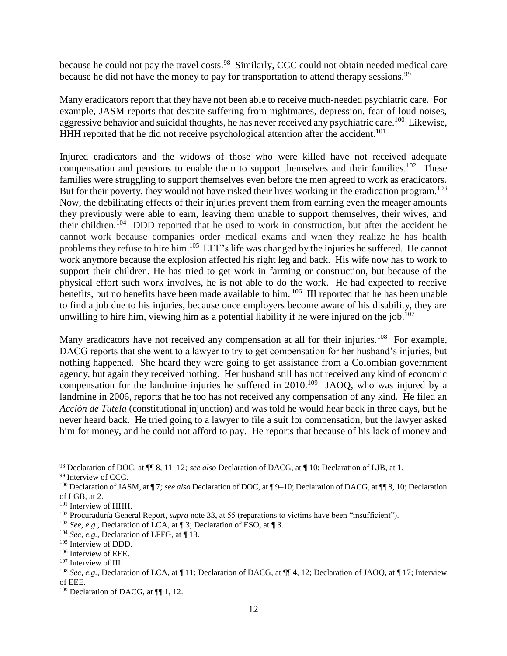because he could not pay the travel costs.<sup>98</sup> Similarly, CCC could not obtain needed medical care because he did not have the money to pay for transportation to attend therapy sessions.<sup>99</sup>

Many eradicators report that they have not been able to receive much-needed psychiatric care. For example, JASM reports that despite suffering from nightmares, depression, fear of loud noises, aggressive behavior and suicidal thoughts, he has never received any psychiatric care.<sup>100</sup> Likewise, HHH reported that he did not receive psychological attention after the accident.<sup>101</sup>

Injured eradicators and the widows of those who were killed have not received adequate compensation and pensions to enable them to support themselves and their families.<sup>102</sup> These families were struggling to support themselves even before the men agreed to work as eradicators. But for their poverty, they would not have risked their lives working in the eradication program.  $^{103}$ Now, the debilitating effects of their injuries prevent them from earning even the meager amounts they previously were able to earn, leaving them unable to support themselves, their wives, and their children.<sup>104</sup> DDD reported that he used to work in construction, but after the accident he cannot work because companies order medical exams and when they realize he has health problems they refuse to hire him.<sup>105</sup> EEE's life was changed by the injuries he suffered. He cannot work anymore because the explosion affected his right leg and back. His wife now has to work to support their children. He has tried to get work in farming or construction, but because of the physical effort such work involves, he is not able to do the work. He had expected to receive benefits, but no benefits have been made available to him. <sup>106</sup> III reported that he has been unable to find a job due to his injuries, because once employers become aware of his disability, they are unwilling to hire him, viewing him as a potential liability if he were injured on the job.<sup>107</sup>

Many eradicators have not received any compensation at all for their injuries.<sup>108</sup> For example, DACG reports that she went to a lawyer to try to get compensation for her husband's injuries, but nothing happened. She heard they were going to get assistance from a Colombian government agency, but again they received nothing. Her husband still has not received any kind of economic compensation for the landmine injuries he suffered in  $2010$ .<sup>109</sup> JAOQ, who was injured by a landmine in 2006, reports that he too has not received any compensation of any kind. He filed an *Acción de Tutela* (constitutional injunction) and was told he would hear back in three days, but he never heard back. He tried going to a lawyer to file a suit for compensation, but the lawyer asked him for money, and he could not afford to pay. He reports that because of his lack of money and

 $\overline{a}$ <sup>98</sup> Declaration of DOC, at ¶¶ 8, 11–12*; see also* Declaration of DACG, at ¶ 10; Declaration of LJB, at 1.

<sup>&</sup>lt;sup>99</sup> Interview of CCC.

<sup>100</sup> Declaration of JASM, at ¶ 7*; see also* Declaration of DOC, at ¶ 9–10; Declaration of DACG, at ¶¶ 8, 10; Declaration of LGB, at 2.

<sup>&</sup>lt;sup>101</sup> Interview of HHH.

<sup>&</sup>lt;sup>102</sup> Procuraduría General Report, *supra* note 33, at 55 (reparations to victims have been "insufficient").

<sup>103</sup> *See, e.g.*, Declaration of LCA, at ¶ 3; Declaration of ESO, at ¶ 3.

<sup>104</sup> *See, e.g.*, Declaration of LFFG, at ¶ 13.

<sup>105</sup> Interview of DDD.

<sup>106</sup> Interview of EEE.

<sup>&</sup>lt;sup>107</sup> Interview of III.

<sup>108</sup> *See, e.g.,* Declaration of LCA, at ¶ 11; Declaration of DACG, at ¶¶ 4, 12; Declaration of JAOQ, at ¶ 17; Interview of EEE.

 $109$  Declaration of DACG, at  $\P$ [1, 12.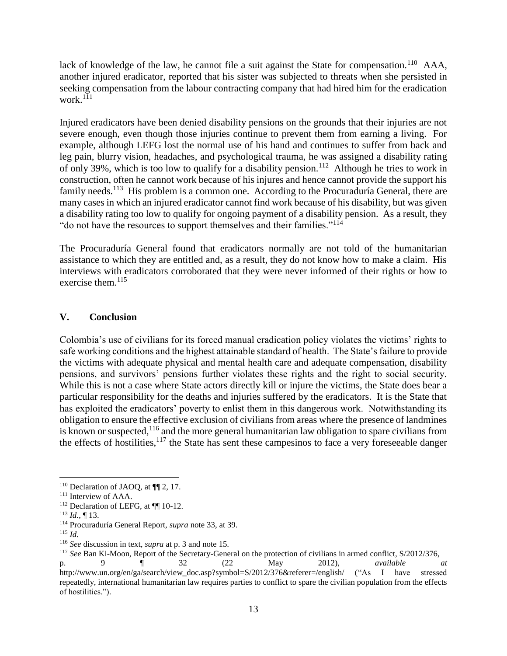lack of knowledge of the law, he cannot file a suit against the State for compensation.<sup>110</sup> AAA, another injured eradicator, reported that his sister was subjected to threats when she persisted in seeking compensation from the labour contracting company that had hired him for the eradication work. $111$ 

Injured eradicators have been denied disability pensions on the grounds that their injuries are not severe enough, even though those injuries continue to prevent them from earning a living. For example, although LEFG lost the normal use of his hand and continues to suffer from back and leg pain, blurry vision, headaches, and psychological trauma, he was assigned a disability rating of only 39%, which is too low to qualify for a disability pension.<sup>112</sup> Although he tries to work in construction, often he cannot work because of his injures and hence cannot provide the support his family needs.<sup>113</sup> His problem is a common one. According to the Procuraduría General, there are many cases in which an injured eradicator cannot find work because of his disability, but was given a disability rating too low to qualify for ongoing payment of a disability pension. As a result, they "do not have the resources to support themselves and their families."<sup>114</sup>

The Procuraduría General found that eradicators normally are not told of the humanitarian assistance to which they are entitled and, as a result, they do not know how to make a claim. His interviews with eradicators corroborated that they were never informed of their rights or how to exercise them. $115$ 

# **V. Conclusion**

Colombia's use of civilians for its forced manual eradication policy violates the victims' rights to safe working conditions and the highest attainable standard of health. The State's failure to provide the victims with adequate physical and mental health care and adequate compensation, disability pensions, and survivors' pensions further violates these rights and the right to social security. While this is not a case where State actors directly kill or injure the victims, the State does bear a particular responsibility for the deaths and injuries suffered by the eradicators. It is the State that has exploited the eradicators' poverty to enlist them in this dangerous work. Notwithstanding its obligation to ensure the effective exclusion of civilians from areas where the presence of landmines is known or suspected,  $116$  and the more general humanitarian law obligation to spare civilians from the effects of hostilities,<sup>117</sup> the State has sent these campesinos to face a very foreseeable danger

 $110$  Declaration of JAOQ, at  $\P$ 2, 17.

<sup>&</sup>lt;sup>111</sup> Interview of AAA.

<sup>&</sup>lt;sup>112</sup> Declaration of LEFG, at ¶¶ 10-12.

<sup>113</sup> *Id.*, ¶ 13.

<sup>114</sup> Procuraduría General Report, *supra* note 33, at 39.

<sup>115</sup> *Id.*

<sup>116</sup> *See* discussion in text, *supra* at p. 3 and note 15.

<sup>117</sup> *See* Ban Ki-Moon, Report of the Secretary-General on the protection of civilians in armed conflict, S/2012/376,

p. 9 ¶ 32 (22 May 2012), *available at*  http://www.un.org/en/ga/search/view\_doc.asp?symbol=S/2012/376&referer=/english/ ("As I have stressed repeatedly, international humanitarian law requires parties to conflict to spare the civilian population from the effects of hostilities.").